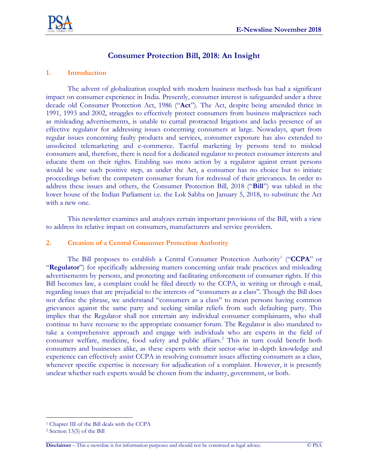

# **Consumer Protection Bill, 2018: An Insight**

#### **1. Introduction**

The advent of globalization coupled with modern business methods has had a significant impact on consumer experience in India. Presently, consumer interest is safeguarded under a three decade old Consumer Protection Act, 1986 ("**Act**"). The Act, despite being amended thrice in 1991, 1993 and 2002, struggles to effectively protect consumers from business malpractices such as misleading advertisements, is unable to curtail protracted litigations and lacks presence of an effective regulator for addressing issues concerning consumers at large. Nowadays, apart from regular issues concerning faulty products and services, consumer exposure has also extended to unsolicited telemarketing and e-commerce. Tactful marketing by persons tend to mislead consumers and, therefore, there is need for a dedicated regulator to protect consumer interests and educate them on their rights. Enabling suo moto action by a regulator against errant persons would be one such positive step, as under the Act, a consumer has no choice but to initiate proceedings before the competent consumer forum for redressal of their grievances. In order to address these issues and others, the Consumer Protection Bill, 2018 ("**Bill**") was tabled in the lower house of the Indian Parliament i.e. the Lok Sabha on January 5, 2018, to substitute the Act with a new one.

This newsletter examines and analyzes certain important provisions of the Bill, with a view to address its relative impact on consumers, manufacturers and service providers.

#### **2. Creation of a Central Consumer Protection Authority**

The Bill proposes to establish a Central Consumer Protection Authority<sup>1</sup> ("CCPA" or "**Regulator**") for specifically addressing matters concerning unfair trade practices and misleading advertisements by persons, and protecting and facilitating enforcement of consumer rights. If this Bill becomes law, a complaint could be filed directly to the CCPA, in writing or through e-mail, regarding issues that are prejudicial to the interests of "consumers as a class". Though the Bill does not define the phrase, we understand "consumers as a class" to mean persons having common grievances against the same party and seeking similar reliefs from such defaulting party. This implies that the Regulator shall not entertain any individual consumer complainants, who shall continue to have recourse to the appropriate consumer forum. The Regulator is also mandated to take a comprehensive approach and engage with individuals who are experts in the field of consumer welfare, medicine, food safety and public affairs. <sup>2</sup> This in turn could benefit both consumers and businesses alike, as these experts with their sector-wise in-depth knowledge and experience can effectively assist CCPA in resolving consumer issues affecting consumers as a class, whenever specific expertise is necessary for adjudication of a complaint. However, it is presently unclear whether such experts would be chosen from the industry, government, or both.

 $\overline{a}$ 

<sup>1</sup> Chapter III of the Bill deals with the CCPA

<sup>2</sup> Section 13(3) of the Bill

**Disclaimer** – This e-newsline is for information purposes and should not be construed as legal advice. © PSA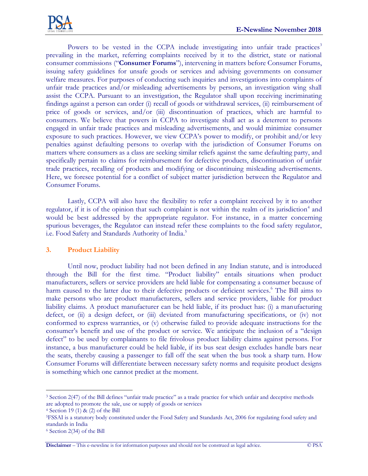Powers to be vested in the CCPA include investigating into unfair trade practices<sup>3</sup> prevailing in the market, referring complaints received by it to the district, state or national consumer commissions ("**Consumer Forums**"), intervening in matters before Consumer Forums, issuing safety guidelines for unsafe goods or services and advising governments on consumer welfare measures. For purposes of conducting such inquiries and investigations into complaints of unfair trade practices and/or misleading advertisements by persons, an investigation wing shall assist the CCPA. Pursuant to an investigation, the Regulator shall upon receiving incriminating findings against a person can order (i) recall of goods or withdrawal services, (ii) reimbursement of price of goods or services, and/or (iii) discontinuation of practices, which are harmful to consumers. We believe that powers in CCPA to investigate shall act as a deterrent to persons engaged in unfair trade practices and misleading advertisements, and would minimize consumer exposure to such practices. However, we view CCPA's power to modify, or prohibit and/or levy penalties against defaulting persons to overlap with the jurisdiction of Consumer Forums on matters where consumers as a class are seeking similar reliefs against the same defaulting party, and specifically pertain to claims for reimbursement for defective products, discontinuation of unfair trade practices, recalling of products and modifying or discontinuing misleading advertisements. Here, we foresee potential for a conflict of subject matter jurisdiction between the Regulator and Consumer Forums.

Lastly, CCPA will also have the flexibility to refer a complaint received by it to another regulator, if it is of the opinion that such complaint is not within the realm of its jurisdiction<sup>4</sup> and would be best addressed by the appropriate regulator. For instance, in a matter concerning spurious beverages, the Regulator can instead refer these complaints to the food safety regulator, i.e. Food Safety and Standards Authority of India. 5

## **3. Product Liability**

Until now, product liability had not been defined in any Indian statute, and is introduced through the Bill for the first time. "Product liability" entails situations when product manufacturers, sellers or service providers are held liable for compensating a consumer because of harm caused to the latter due to their defective products or deficient services. <sup>6</sup> The Bill aims to make persons who are product manufacturers, sellers and service providers, liable for product liability claims. A product manufacturer can be held liable, if its product has: (i) a manufacturing defect, or (ii) a design defect, or (iii) deviated from manufacturing specifications, or (iv) not conformed to express warranties, or (v) otherwise failed to provide adequate instructions for the consumer's benefit and use of the product or service. We anticipate the inclusion of a "design defect" to be used by complainants to file frivolous product liability claims against persons. For instance, a bus manufacturer could be held liable, if its bus seat design excludes handle bars near the seats, thereby causing a passenger to fall off the seat when the bus took a sharp turn. How Consumer Forums will differentiate between necessary safety norms and requisite product designs is something which one cannot predict at the moment.

 $\overline{a}$ <sup>3</sup> Section 2(47) of the Bill defines "unfair trade practice" as a trade practice for which unfair and deceptive methods are adopted to promote the sale, use or supply of goods or services

<sup>4</sup> Section 19 (1) & (2) of the Bill

<sup>5</sup>FSSAI is a statutory body constituted under the Food Safety and Standards Act, 2006 for regulating food safety and standards in India

<sup>6</sup> Section 2(34) of the Bill

**Disclaimer** – This e-newsline is for information purposes and should not be construed as legal advice. © PSA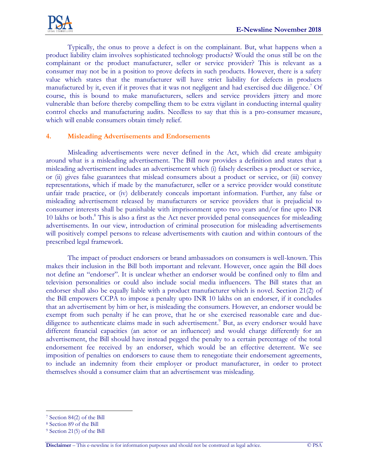Typically, the onus to prove a defect is on the complainant. But, what happens when a product liability claim involves sophisticated technology products? Would the onus still be on the complainant or the product manufacturer, seller or service provider? This is relevant as a consumer may not be in a position to prove defects in such products. However, there is a safety value which states that the manufacturer will have strict liability for defects in products manufactured by it, even if it proves that it was not negligent and had exercised due diligence. <sup>7</sup> Of course, this is bound to make manufacturers, sellers and service providers jittery and more vulnerable than before thereby compelling them to be extra vigilant in conducting internal quality control checks and manufacturing audits. Needless to say that this is a pro-consumer measure, which will enable consumers obtain timely relief.

## **4. Misleading Advertisements and Endorsements**

Misleading advertisements were never defined in the Act, which did create ambiguity around what is a misleading advertisement. The Bill now provides a definition and states that a misleading advertisement includes an advertisement which (i) falsely describes a product or service, or (ii) gives false guarantees that mislead consumers about a product or service, or (iii) convey representations, which if made by the manufacturer, seller or a service provider would constitute unfair trade practice, or (iv) deliberately conceals important information. Further, any false or misleading advertisement released by manufacturers or service providers that is prejudicial to consumer interests shall be punishable with imprisonment upto two years and/or fine upto INR 10 lakhs or both. <sup>8</sup> This is also a first as the Act never provided penal consequences for misleading advertisements. In our view, introduction of criminal prosecution for misleading advertisements will positively compel persons to release advertisements with caution and within contours of the prescribed legal framework.

The impact of product endorsers or brand ambassadors on consumers is well-known. This makes their inclusion in the Bill both important and relevant. However, once again the Bill does not define an "endorser". It is unclear whether an endorser would be confined only to film and television personalities or could also include social media influencers. The Bill states that an endorser shall also be equally liable with a product manufacturer which is novel. Section 21(2) of the Bill empowers CCPA to impose a penalty upto INR 10 lakhs on an endorser, if it concludes that an advertisement by him or her, is misleading the consumers. However, an endorser would be exempt from such penalty if he can prove, that he or she exercised reasonable care and duediligence to authenticate claims made in such advertisement.<sup>9</sup> But, as every endorser would have different financial capacities (an actor or an influencer) and would charge differently for an advertisement, the Bill should have instead pegged the penalty to a certain percentage of the total endorsement fee received by an endorser, which would be an effective deterrent. We see imposition of penalties on endorsers to cause them to renegotiate their endorsement agreements, to include an indemnity from their employer or product manufacturer, in order to protect themselves should a consumer claim that an advertisement was misleading.

 $\overline{a}$ 

<sup>7</sup> Section 84(2) of the Bill

<sup>8</sup> Section 89 of the Bill

<sup>9</sup> Section 21(5) of the Bill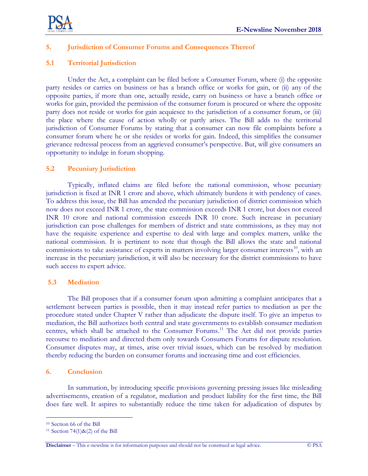

## **5. Jurisdiction of Consumer Forums and Consequences Thereof**

## **5.1 Territorial Jurisdiction**

Under the Act, a complaint can be filed before a Consumer Forum, where (i) the opposite party resides or carries on business or has a branch office or works for gain, or (ii) any of the opposite parties, if more than one, actually reside, carry on business or have a branch office or works for gain, provided the permission of the consumer forum is procured or where the opposite party does not reside or works for gain acquiesce to the jurisdiction of a consumer forum, or (iii) the place where the cause of action wholly or partly arises. The Bill adds to the territorial jurisdiction of Consumer Forums by stating that a consumer can now file complaints before a consumer forum where he or she resides or works for gain. Indeed, this simplifies the consumer grievance redressal process from an aggrieved consumer's perspective. But, will give consumers an opportunity to indulge in forum shopping.

## **5.2 Pecuniary Jurisdiction**

Typically, inflated claims are filed before the national commission, whose pecuniary jurisdiction is fixed at INR 1 crore and above, which ultimately burdens it with pendency of cases. To address this issue, the Bill has amended the pecuniary jurisdiction of district commission which now does not exceed INR 1 crore, the state commission exceeds INR 1 crore, but does not exceed INR 10 crore and national commission exceeds INR 10 crore. Such increase in pecuniary jurisdiction can pose challenges for members of district and state commissions, as they may not have the requisite experience and expertise to deal with large and complex matters, unlike the national commission. It is pertinent to note that though the Bill allows the state and national commissions to take assistance of experts in matters involving larger consumer interests<sup>10</sup>, with an increase in the pecuniary jurisdiction, it will also be necessary for the district commissions to have such access to expert advice.

#### **5.3 Mediation**

The Bill proposes that if a consumer forum upon admitting a complaint anticipates that a settlement between parties is possible, then it may instead refer parties to mediation as per the procedure stated under Chapter V rather than adjudicate the dispute itself. To give an impetus to mediation, the Bill authorizes both central and state governments to establish consumer mediation centres, which shall be attached to the Consumer Forums.<sup>11</sup> The Act did not provide parties recourse to mediation and directed them only towards Consumers Forums for dispute resolution. Consumer disputes may, at times, arise over trivial issues, which can be resolved by mediation thereby reducing the burden on consumer forums and increasing time and cost efficiencies.

#### **6. Conclusion**

In summation, by introducing specific provisions governing pressing issues like misleading advertisements, creation of a regulator, mediation and product liability for the first time, the Bill does fare well. It aspires to substantially reduce the time taken for adjudication of disputes by

 $\overline{a}$ 

<sup>10</sup> Section 66 of the Bill

<sup>&</sup>lt;sup>11</sup> Section 74(1) $\&$ (2) of the Bill